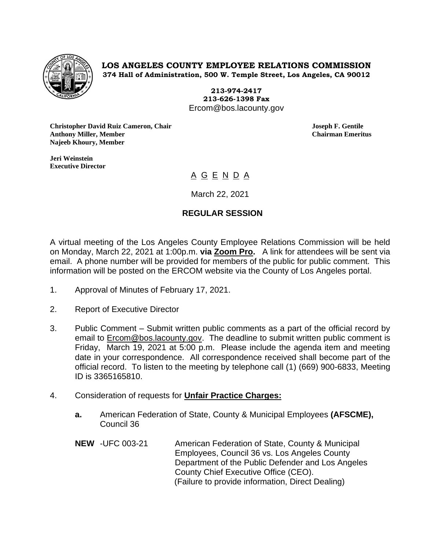

**LOS ANGELES COUNTY EMPLOYEE RELATIONS COMMISSION 374 Hall of Administration, 500 W. Temple Street, Los Angeles, CA 90012**

> **213-974-2417 213-626-1398 Fax** Ercom@bos.lacounty.gov

**Christopher David Ruiz Cameron, Chair Joseph F. Gentile Anthony Miller, Member Chairman Emeritus Najeeb Khoury, Member**

**Jeri Weinstein Executive Director** 

# <u>A G E N D A </u>

March 22, 2021

### **REGULAR SESSION**

A virtual meeting of the Los Angeles County Employee Relations Commission will be held on Monday, March 22, 2021 at 1:00p.m. **via Zoom Pro.** A link for attendees will be sent via email. A phone number will be provided for members of the public for public comment. This information will be posted on the ERCOM website via the County of Los Angeles portal.

- 1. Approval of Minutes of February 17, 2021.
- 2. Report of Executive Director
- 3. Public Comment Submit written public comments as a part of the official record by email to [Ercom@bos.lacounty.gov.](mailto:Ercom@bos.lacounty.gov) The deadline to submit written public comment is Friday, March 19, 2021 at 5:00 p.m. Please include the agenda item and meeting date in your correspondence. All correspondence received shall become part of the official record. To listen to the meeting by telephone call (1) (669) 900-6833, Meeting ID is 3365165810.
- 4. Consideration of requests for **Unfair Practice Charges:**
	- **a.** American Federation of State, County & Municipal Employees **(AFSCME),**  Council 36
	- **NEW** -UFC 003-21 American Federation of State, County & Municipal Employees, Council 36 vs. Los Angeles County Department of the Public Defender and Los Angeles County Chief Executive Office (CEO). (Failure to provide information, Direct Dealing)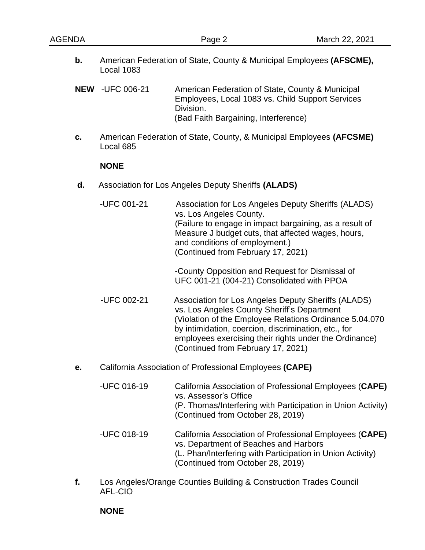**b.** American Federation of State, County & Municipal Employees **(AFSCME),** Local 1083

**NEW** -UFC 006-21 American Federation of State, County & Municipal Employees, Local 1083 vs. Child Support Services Division. (Bad Faith Bargaining, Interference)

**c.** American Federation of State, County, & Municipal Employees **(AFCSME)** Local 685

#### **NONE**

- **d.** Association for Los Angeles Deputy Sheriffs **(ALADS)**
	- -UFC 001-21 Association for Los Angeles Deputy Sheriffs (ALADS) vs. Los Angeles County. (Failure to engage in impact bargaining, as a result of Measure J budget cuts, that affected wages, hours, and conditions of employment.) (Continued from February 17, 2021)

-County Opposition and Request for Dismissal of UFC 001-21 (004-21) Consolidated with PPOA

- -UFC 002-21 Association for Los Angeles Deputy Sheriffs (ALADS) vs. Los Angeles County Sheriff's Department (Violation of the Employee Relations Ordinance 5.04.070 by intimidation, coercion, discrimination, etc., for employees exercising their rights under the Ordinance) (Continued from February 17, 2021)
- **e.** California Association of Professional Employees **(CAPE)**
	- -UFC 016-19 California Association of Professional Employees (**CAPE)** vs. Assessor's Office (P. Thomas/Interfering with Participation in Union Activity) (Continued from October 28, 2019)
	- -UFC 018-19 California Association of Professional Employees (**CAPE)** vs. Department of Beaches and Harbors (L. Phan/Interfering with Participation in Union Activity) (Continued from October 28, 2019)
- **f.** Los Angeles/Orange Counties Building & Construction Trades Council AFL-CIO

#### **NONE**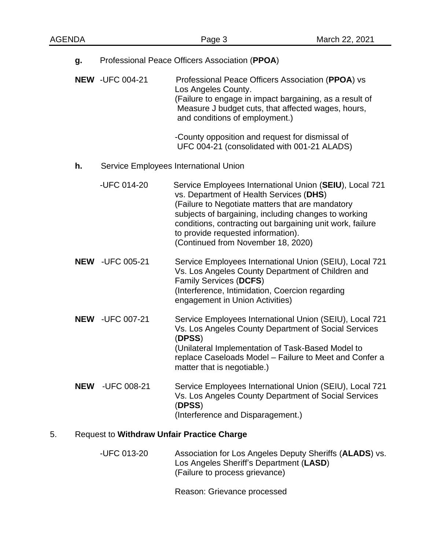|                                             | g.         | Professional Peace Officers Association (PPOA) |                                                                                                                                                                                                                                                                                                                                                         |  |
|---------------------------------------------|------------|------------------------------------------------|---------------------------------------------------------------------------------------------------------------------------------------------------------------------------------------------------------------------------------------------------------------------------------------------------------------------------------------------------------|--|
|                                             |            | <b>NEW -UFC 004-21</b>                         | Professional Peace Officers Association (PPOA) vs<br>Los Angeles County.<br>(Failure to engage in impact bargaining, as a result of<br>Measure J budget cuts, that affected wages, hours,<br>and conditions of employment.)<br>-County opposition and request for dismissal of<br>UFC 004-21 (consolidated with 001-21 ALADS)                           |  |
| Service Employees International Union<br>h. |            |                                                |                                                                                                                                                                                                                                                                                                                                                         |  |
|                                             |            | -UFC 014-20                                    | Service Employees International Union (SEIU), Local 721<br>vs. Department of Health Services (DHS)<br>(Failure to Negotiate matters that are mandatory<br>subjects of bargaining, including changes to working<br>conditions, contracting out bargaining unit work, failure<br>to provide requested information).<br>(Continued from November 18, 2020) |  |
|                                             |            | <b>NEW -UFC 005-21</b>                         | Service Employees International Union (SEIU), Local 721<br>Vs. Los Angeles County Department of Children and<br>Family Services (DCFS)<br>(Interference, Intimidation, Coercion regarding<br>engagement in Union Activities)                                                                                                                            |  |
|                                             |            | <b>NEW -UFC 007-21</b>                         | Service Employees International Union (SEIU), Local 721<br>Vs. Los Angeles County Department of Social Services<br>(DPSS)<br>(Unilateral Implementation of Task-Based Model to<br>replace Caseloads Model - Failure to Meet and Confer a<br>matter that is negotiable.)                                                                                 |  |
|                                             | <b>NEW</b> | -UFC 008-21                                    | Service Employees International Union (SEIU), Local 721<br>Vs. Los Angeles County Department of Social Services<br>(DPSS)<br>(Interference and Disparagement.)                                                                                                                                                                                          |  |

## 5. Request to **Withdraw Unfair Practice Charge**

-UFC 013-20 Association for Los Angeles Deputy Sheriffs (**ALADS**) vs. Los Angeles Sheriff's Department (**LASD**) (Failure to process grievance)

Reason: Grievance processed